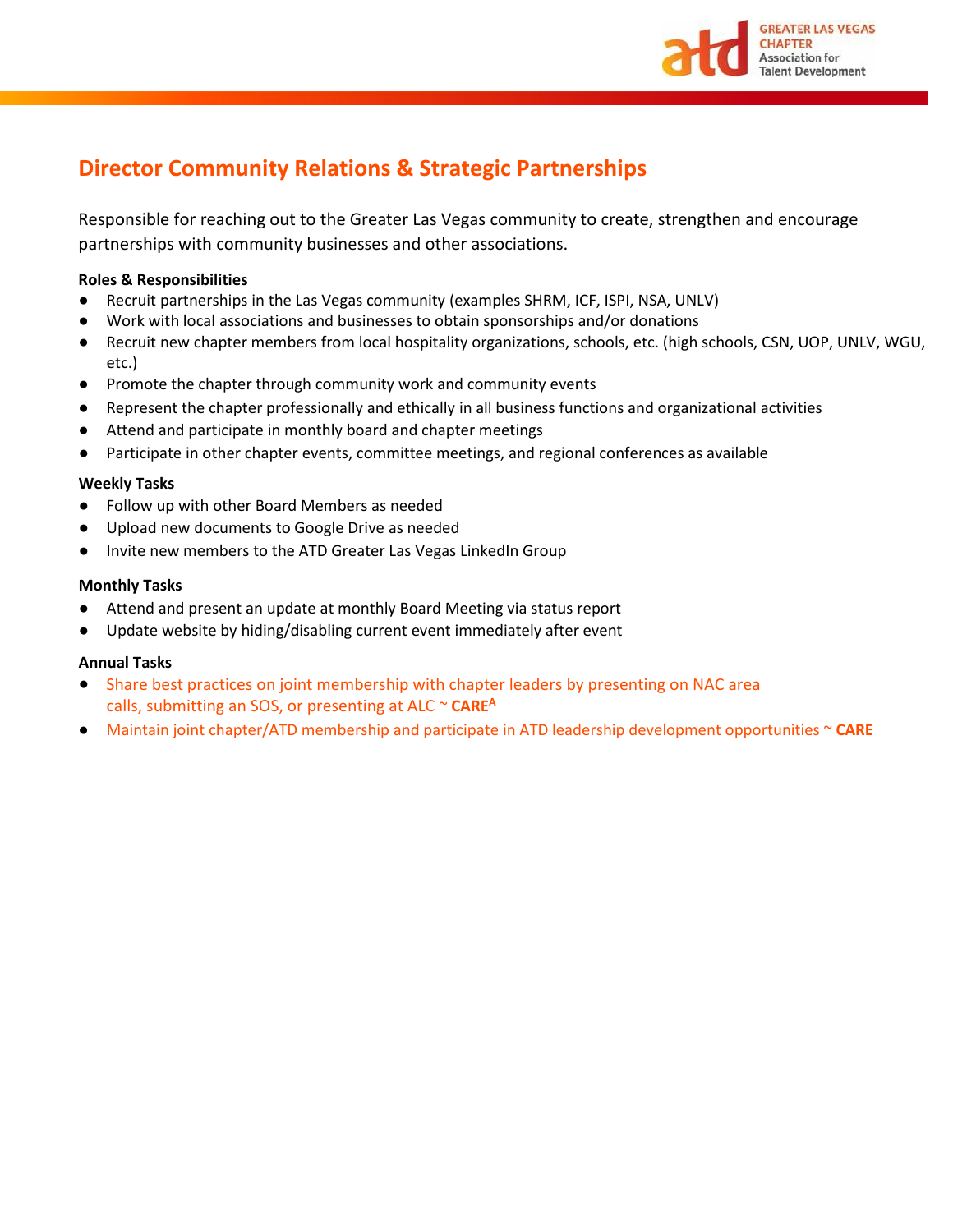

# **Director Community Relations & Strategic Partnerships**

Responsible for reaching out to the Greater Las Vegas community to create, strengthen and encourage partnerships with community businesses and other associations.

## **Roles & Responsibilities**

- Recruit partnerships in the Las Vegas community (examples SHRM, ICF, ISPI, NSA, UNLV)
- Work with local associations and businesses to obtain sponsorships and/or donations
- Recruit new chapter members from local hospitality organizations, schools, etc. (high schools, CSN, UOP, UNLV, WGU, etc.)
- Promote the chapter through community work and community events
- Represent the chapter professionally and ethically in all business functions and organizational activities
- Attend and participate in monthly board and chapter meetings
- Participate in other chapter events, committee meetings, and regional conferences as available

### **Weekly Tasks**

- Follow up with other Board Members as needed
- Upload new documents to Google Drive as needed
- Invite new members to the ATD Greater Las Vegas LinkedIn Group

### **Monthly Tasks**

- Attend and present an update at monthly Board Meeting via status report
- Update website by hiding/disabling current event immediately after event

### **Annual Tasks**

- Share best practices on joint membership with chapter leaders by presenting on NAC area calls, submitting an SOS, or presenting at ALC ~ **CARE<sup>A</sup>**
- Maintain joint chapter/ATD membership and participate in ATD leadership development opportunities ~ **CARE**